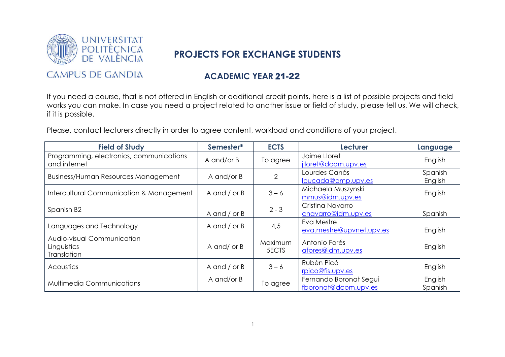

## PROJECTS FOR EXCHANGE STUDENTS

## **CAMPUS DE GANDIA**

## ACADEMIC YEAR 21-22

If you need a course, that is not offered in English or additional credit points, here is a list of possible projects and field works you can make. In case you need a project related to another issue or field of study, please tell us. We will check, if it is possible.

Please, contact lecturers directly in order to agree content, workload and conditions of your project.

| <b>Field of Study</b>                                    | Semester*      | <b>ECTS</b>             | <b>Lecturer</b>                                | Language           |
|----------------------------------------------------------|----------------|-------------------------|------------------------------------------------|--------------------|
| Programming, electronics, communications<br>and internet | A and/or B     | To agree                | Jaime Lloret<br>illoret@dcom.upv.es            | English            |
| <b>Business/Human Resources Management</b>               | A and/or B     | 2                       | Lourdes Canós<br>loucada@omp.upv.es            | Spanish<br>English |
| Intercultural Communication & Management                 | A and $/$ or B | $3 - 6$                 | Michaela Muszynski<br>mmus@idm.upv.es          | English            |
| Spanish B <sub>2</sub>                                   | A and $/$ or B | $2 - 3$                 | Cristina Navarro<br>cnavarro@idm.upv.es        | Spanish            |
| Languages and Technology                                 | A and $/$ or B | 4,5                     | Eva Mestre<br>eva.mestre@upvnet.upv.es         | English            |
| Audio-visual Communication<br>Linguistics<br>Translation | A and/ or B    | Maximum<br><b>5ECTS</b> | Antonio Forés<br>afores@idm.upv.es             | English            |
| Acoustics                                                | A and $/$ or B | $3 - 6$                 | Rubén Picó<br>rpico@fis.upv.es                 | English            |
| <b>Multimedia Communications</b>                         | A and/or B     | To agree                | Fernando Boronat Seguí<br>fboronat@dcom.upv.es | English<br>Spanish |